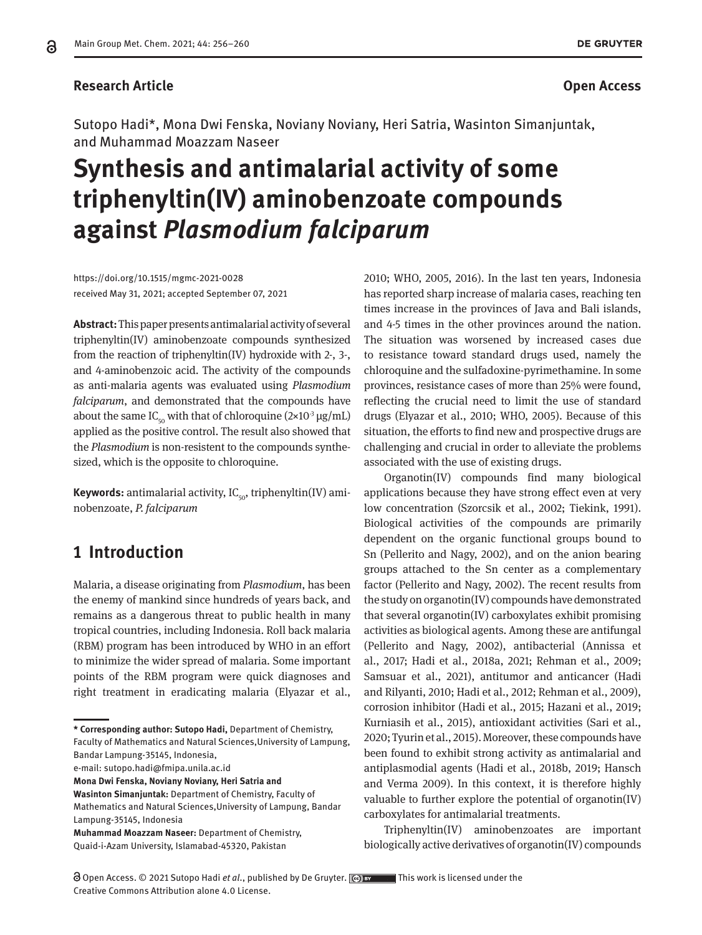### **Research Article Open Access**

Sutopo Hadi\*, Mona Dwi Fenska, Noviany Noviany, Heri Satria, Wasinton Simanjuntak, and Muhammad Moazzam Naseer

# **Synthesis and antimalarial activity of some triphenyltin(IV) aminobenzoate compounds against** *Plasmodium falciparum*

https://doi.org/10.1515/mgmc-2021-0028 received May 31, 2021; accepted September 07, 2021

**Abstract:** This paperpresents antimalarial activity of several triphenyltin(IV) aminobenzoate compounds synthesized from the reaction of triphenyltin(IV) hydroxide with 2-, 3-, and 4-aminobenzoic acid. The activity of the compounds as anti-malaria agents was evaluated using *Plasmodium falciparum*, and demonstrated that the compounds have about the same IC<sub>50</sub> with that of chloroquine (2×10<sup>-3</sup> μg/mL) applied as the positive control. The result also showed that the *Plasmodium* is non-resistent to the compounds synthesized, which is the opposite to chloroquine.

**Keywords:** antimalarial activity,  $IC_{50}$ , triphenyltin(IV) aminobenzoate, *P. falciparum*

## **1 Introduction**

Malaria, a disease originating from *Plasmodium*, has been the enemy of mankind since hundreds of years back, and remains as a dangerous threat to public health in many tropical countries, including Indonesia. Roll back malaria (RBM) program has been introduced by WHO in an effort to minimize the wider spread of malaria. Some important points of the RBM program were quick diagnoses and right treatment in eradicating malaria (Elyazar et al.,

**\* Corresponding author: Sutopo Hadi,** Department of Chemistry, Faculty of Mathematics and Natural Sciences,University of Lampung,

Bandar Lampung-35145, Indonesia,

e-mail: sutopo.hadi@fmipa.unila.ac.id

**Mona Dwi Fenska, Noviany Noviany, Heri Satria and** 

**Wasinton Simanjuntak:** Department of Chemistry, Faculty of Mathematics and Natural Sciences,University of Lampung, Bandar Lampung-35145, Indonesia

**Muhammad Moazzam Naseer:** Department of Chemistry, Quaid-i-Azam University, Islamabad-45320, Pakistan

2010; WHO, 2005, 2016). In the last ten years, Indonesia has reported sharp increase of malaria cases, reaching ten times increase in the provinces of Java and Bali islands, and 4-5 times in the other provinces around the nation. The situation was worsened by increased cases due to resistance toward standard drugs used, namely the chloroquine and the sulfadoxine-pyrimethamine. In some provinces, resistance cases of more than 25% were found, reflecting the crucial need to limit the use of standard drugs (Elyazar et al., 2010; WHO, 2005). Because of this situation, the efforts to find new and prospective drugs are challenging and crucial in order to alleviate the problems associated with the use of existing drugs.

Organotin(IV) compounds find many biological applications because they have strong effect even at very low concentration (Szorcsik et al., 2002; Tiekink, 1991). Biological activities of the compounds are primarily dependent on the organic functional groups bound to Sn (Pellerito and Nagy, 2002), and on the anion bearing groups attached to the Sn center as a complementary factor (Pellerito and Nagy, 2002). The recent results from the study on organotin(IV) compounds have demonstrated that several organotin(IV) carboxylates exhibit promising activities as biological agents. Among these are antifungal (Pellerito and Nagy, 2002), antibacterial (Annissa et al., 2017; Hadi et al., 2018a, 2021; Rehman et al., 2009; Samsuar et al., 2021), antitumor and anticancer (Hadi and Rilyanti, 2010; Hadi et al., 2012; Rehman et al., 2009), corrosion inhibitor (Hadi et al., 2015; Hazani et al., 2019; Kurniasih et al., 2015), antioxidant activities (Sari et al., 2020; Tyurin et al., 2015). Moreover, these compounds have been found to exhibit strong activity as antimalarial and antiplasmodial agents (Hadi et al., 2018b, 2019; Hansch and Verma 2009). In this context, it is therefore highly valuable to further explore the potential of organotin(IV) carboxylates for antimalarial treatments.

Triphenyltin(IV) aminobenzoates are important biologically active derivatives of organotin(IV) compounds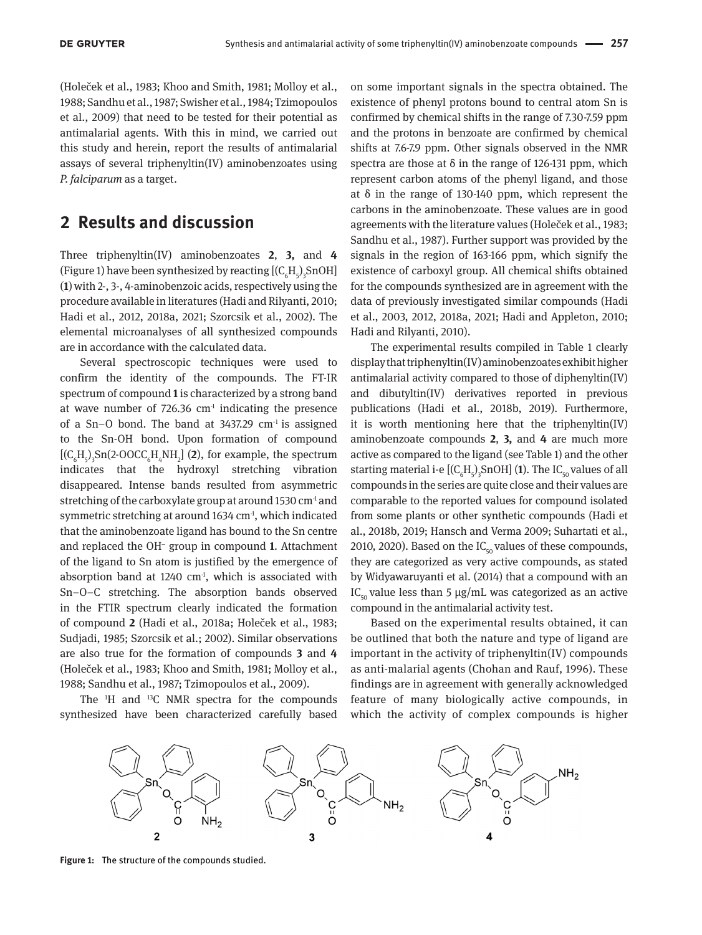(Holeček et al., 1983; Khoo and Smith, 1981; Molloy et al., 1988; Sandhu et al., 1987; Swisher et al., 1984; Tzimopoulos et al., 2009) that need to be tested for their potential as antimalarial agents. With this in mind, we carried out this study and herein, report the results of antimalarial assays of several triphenyltin(IV) aminobenzoates using *P. falciparum* as a target.

## **2 Results and discussion**

Three triphenyltin(IV) aminobenzoates **2**, **3,** and **4**  (Figure 1) have been synthesized by reacting  $[(C_6H_5)_3\text{SnOH}]$ (**1**) with 2-, 3-, 4-aminobenzoic acids, respectively using the procedure available in literatures (Hadi and Rilyanti, 2010; Hadi et al., 2012, 2018a, 2021; Szorcsik et al., 2002). The elemental microanalyses of all synthesized compounds are in accordance with the calculated data.

Several spectroscopic techniques were used to confirm the identity of the compounds. The FT-IR spectrum of compound **1** is characterized by a strong band at wave number of  $726.36 \text{ cm}^3$  indicating the presence of a Sn–O bond. The band at 3437.29 cm-<sup>1</sup> is assigned to the Sn-OH bond. Upon formation of compound  $[(C_{6}H_{5})_{3}Sn(2\text{-}OOCC_{6}H_{4}NH_{2}]$  (2), for example, the spectrum indicates that the hydroxyl stretching vibration disappeared. Intense bands resulted from asymmetric stretching of the carboxylate group at around 1530  $\text{cm}^4$  and symmetric stretching at around  $1634 \text{ cm}^3$ , which indicated that the aminobenzoate ligand has bound to the Sn centre and replaced the OH<sup>−</sup> group in compound **1**. Attachment of the ligand to Sn atom is justified by the emergence of absorption band at 1240  $cm<sup>1</sup>$ , which is associated with Sn–O–C stretching. The absorption bands observed in the FTIR spectrum clearly indicated the formation of compound **2** (Hadi et al., 2018a; Holeček et al., 1983; Sudjadi, 1985; Szorcsik et al.; 2002). Similar observations are also true for the formation of compounds **3** and **4**  (Holeček et al., 1983; Khoo and Smith, 1981; Molloy et al., 1988; Sandhu et al., 1987; Tzimopoulos et al., 2009).

The  $H$  and  $H$ <sup>3</sup>C NMR spectra for the compounds synthesized have been characterized carefully based

on some important signals in the spectra obtained. The existence of phenyl protons bound to central atom Sn is confirmed by chemical shifts in the range of 7.30-7.59 ppm and the protons in benzoate are confirmed by chemical shifts at 7.6-7.9 ppm. Other signals observed in the NMR spectra are those at  $\delta$  in the range of 126-131 ppm, which represent carbon atoms of the phenyl ligand, and those at δ in the range of 130-140 ppm, which represent the carbons in the aminobenzoate. These values are in good agreements with the literature values (Holeček et al., 1983; Sandhu et al., 1987). Further support was provided by the signals in the region of 163-166 ppm, which signify the existence of carboxyl group. All chemical shifts obtained for the compounds synthesized are in agreement with the data of previously investigated similar compounds (Hadi et al., 2003, 2012, 2018a, 2021; Hadi and Appleton, 2010; Hadi and Rilyanti, 2010).

The experimental results compiled in Table 1 clearly display that triphenyltin(IV) aminobenzoates exhibit higher antimalarial activity compared to those of diphenyltin(IV) and dibutyltin(IV) derivatives reported in previous publications (Hadi et al., 2018b, 2019). Furthermore, it is worth mentioning here that the triphenyltin(IV) aminobenzoate compounds **2**, **3,** and **4** are much more active as compared to the ligand (see Table 1) and the other starting material i-e [( $\text{C}_{_{6}}\text{H}_{_{5}}$ )<sub>3</sub>SnOH] (**1**). The IC<sub>50</sub> values of all compounds in the series are quite close and their values are comparable to the reported values for compound isolated from some plants or other synthetic compounds (Hadi et al., 2018b, 2019; Hansch and Verma 2009; Suhartati et al., 2010, 2020). Based on the  $IC_{50}$  values of these compounds, they are categorized as very active compounds, as stated by Widyawaruyanti et al. (2014) that a compound with an IC<sub>50</sub> value less than 5 μg/mL was categorized as an active compound in the antimalarial activity test.

Based on the experimental results obtained, it can be outlined that both the nature and type of ligand are important in the activity of triphenyltin(IV) compounds as anti-malarial agents (Chohan and Rauf, 1996). These findings are in agreement with generally acknowledged feature of many biologically active compounds, in which the activity of complex compounds is higher



**Figure 1:** The structure of the compounds studied.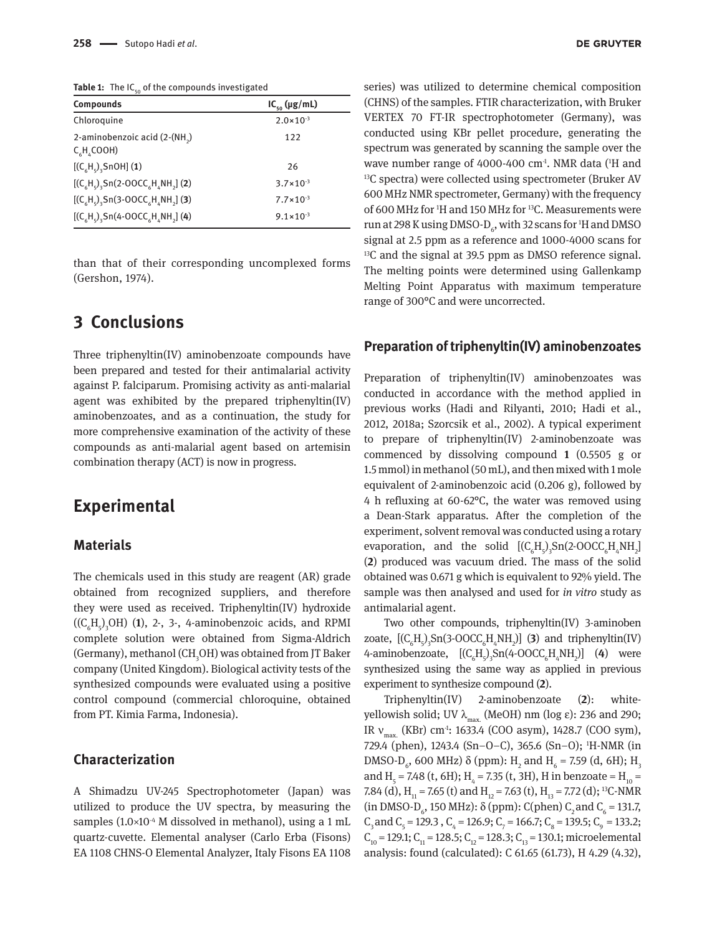Table 1: The IC<sub>50</sub> of the compounds investigated

| <b>Compounds</b>                                                              | $IC_{50}$ (µg/mL)    |
|-------------------------------------------------------------------------------|----------------------|
| Chloroquine                                                                   | $2.0 \times 10^{-3}$ |
| 2-aminobenzoic acid (2-(NH <sub>2</sub> )<br>$C_{6}H_{4}COOH$                 | 122                  |
| $[(C_{6}H_{c}),$ SnOH] (1)                                                    | 26                   |
| $(C_{6}H_{c})_{3}$ Sn(2-OOCC <sub>6</sub> H <sub>4</sub> NH <sub>2</sub> )(2) | $3.7 \times 10^{-3}$ |
| $[(C_{6}H_{5})_{3}Sn(3\textrm{-}OOCC_{6}H_{4}NH_{2}]$ (3)                     | $7.7 \times 10^{-3}$ |
| $[(C_{6}H_{5})_{3}Sn(4\cdot OOCC_{6}H_{4}NH_{2}](4)]$                         | $9.1 \times 10^{-3}$ |

than that of their corresponding uncomplexed forms (Gershon, 1974).

## **3 Conclusions**

Three triphenyltin(IV) aminobenzoate compounds have been prepared and tested for their antimalarial activity against P. falciparum. Promising activity as anti-malarial agent was exhibited by the prepared triphenyltin(IV) aminobenzoates, and as a continuation, the study for more comprehensive examination of the activity of these compounds as anti-malarial agent based on artemisin combination therapy (ACT) is now in progress.

## **Experimental**

#### **Materials**

The chemicals used in this study are reagent (AR) grade obtained from recognized suppliers, and therefore they were used as received. Triphenyltin(IV) hydroxide  $((C<sub>6</sub>H<sub>5</sub>)<sub>3</sub>OH)$  (1), 2-, 3-, 4-aminobenzoic acids, and RPMI complete solution were obtained from Sigma-Aldrich (Germany), methanol (CH<sub>3</sub>OH) was obtained from JT Baker company (United Kingdom). Biological activity tests of the synthesized compounds were evaluated using a positive control compound (commercial chloroquine, obtained from PT. Kimia Farma, Indonesia).

#### **Characterization**

A Shimadzu UV-245 Spectrophotometer (Japan) was utilized to produce the UV spectra, by measuring the samples  $(1.0\times10^{-4}$  M dissolved in methanol), using a 1 mL quartz-cuvette. Elemental analyser (Carlo Erba (Fisons) EA 1108 CHNS-O Elemental Analyzer, Italy Fisons EA 1108 series) was utilized to determine chemical composition (CHNS) of the samples. FTIR characterization, with Bruker VERTEX 70 FT-IR spectrophotometer (Germany), was conducted using KBr pellet procedure, generating the spectrum was generated by scanning the sample over the wave number range of 4000-400  $\text{cm}^{\text{-}1}$ . NMR data ( $\text{H}$  and <sup>13</sup>C spectra) were collected using spectrometer (Bruker AV 600 MHz NMR spectrometer, Germany) with the frequency of 600 MHz for 1 H and 150 MHz for 13C. Measurements were run at 298 K using DMSO-D $_{6}$ , with 32 scans for  $^{1}\mathrm{H}$  and DMSO signal at 2.5 ppm as a reference and 1000-4000 scans for 13C and the signal at 39.5 ppm as DMSO reference signal. The melting points were determined using Gallenkamp Melting Point Apparatus with maximum temperature range of 300°C and were uncorrected.

#### **Preparation of triphenyltin(IV) aminobenzoates**

Preparation of triphenyltin(IV) aminobenzoates was conducted in accordance with the method applied in previous works (Hadi and Rilyanti, 2010; Hadi et al., 2012, 2018a; Szorcsik et al., 2002). A typical experiment to prepare of triphenyltin(IV) 2-aminobenzoate was commenced by dissolving compound **1** (0.5505 g or 1.5 mmol) in methanol (50 mL), and then mixed with 1 mole equivalent of 2-aminobenzoic acid (0.206 g), followed by 4 h refluxing at 60-62°C, the water was removed using a Dean-Stark apparatus. After the completion of the experiment, solvent removal was conducted using a rotary evaporation, and the solid  $[(C_6H_5)_3Sn(2-OOCC_6H_4NH_2]$ (**2**) produced was vacuum dried. The mass of the solid obtained was 0.671 g which is equivalent to 92% yield. The sample was then analysed and used for *in vitro* study as antimalarial agent.

Two other compounds, triphenyltin(IV) 3-aminoben zoate,  $[(C_6H_5)_3Sn(3-OOCC_6H_4NH_2)]$  (3) and triphenyltin(IV) 4-aminobenzoate,  $[(C_6H_5)_3Sn(4\textrm{-}OOCC_6H_4NH_2)]$  (4) were synthesized using the same way as applied in previous experiment to synthesize compound (**2**).

Triphenyltin(IV) 2-aminobenzoate (**2**): whiteyellowish solid; UV  $\lambda_{\text{max}}$  (MeOH) nm (log ε): 236 and 290; IR  $v_{\text{max}}$  (KBr) cm<sup>-1</sup>: 1633.4 (COO asym), 1428.7 (COO sym), 729.4 (phen), 1243.4 (Sn–O–C), 365.6 (Sn–O); 1 H-NMR (in DMSO-D<sub>6</sub>, 600 MHz) δ (ppm): H<sub>2</sub> and H<sub>6</sub> = 7.59 (d, 6H); H<sub>3</sub> and H<sub>5</sub> = 7.48 (t, 6H); H<sub>4</sub> = 7.35 (t, 3H), H in benzoate = H<sub>10</sub> = 7.84 (d),  $H_{11} = 7.65$  (t) and  $H_{12} = 7.63$  (t),  $H_{13} = 7.72$  (d); <sup>13</sup>C-NMR (in DMSO-D<sub>6</sub>, 150 MHz):  $\delta$  (ppm): C(phen) C<sub>2</sub> and C<sub>6</sub> = 131.7,  $C_3$  and  $C_5$  = 129.3,  $C_4$  = 126.9;  $C_7$  = 166.7;  $C_8$  = 139.5;  $C_9$  = 133.2;  $C_{10} = 129.1$ ;  $C_{11} = 128.5$ ;  $C_{12} = 128.3$ ;  $C_{13} = 130.1$ ; microelemental analysis: found (calculated): C 61.65 (61.73), H 4.29 (4.32),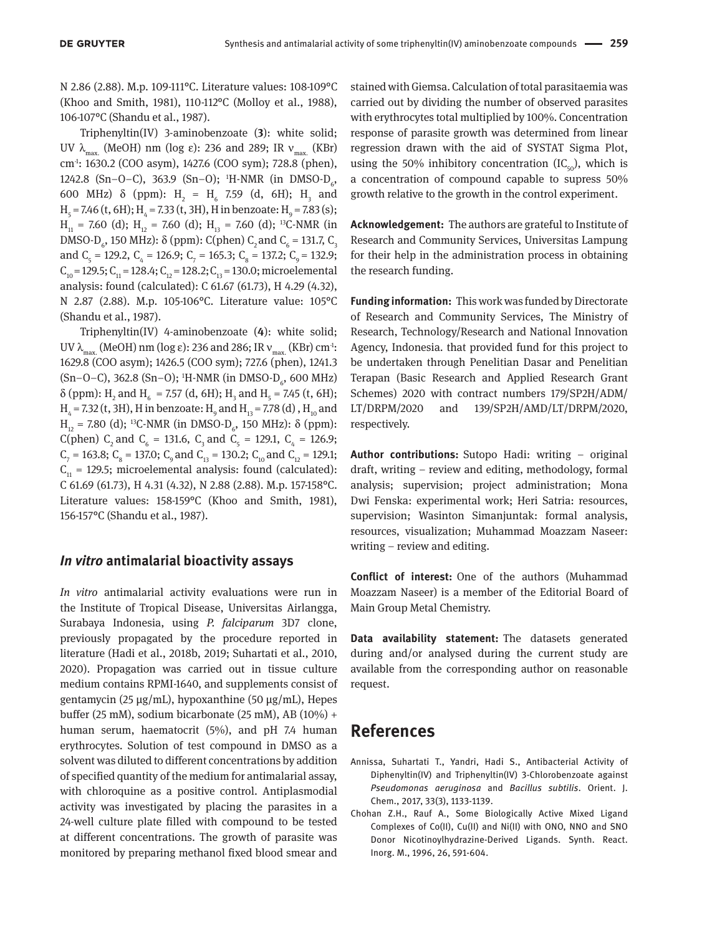N 2.86 (2.88). M.p. 109-111°C. Literature values: 108-109°C (Khoo and Smith, 1981), 110-112°C (Molloy et al., 1988), 106-107°C (Shandu et al., 1987).

Triphenyltin(IV) 3-aminobenzoate (**3**): white solid; UV  $\lambda_{\text{max}}$  (MeOH) nm (log ε): 236 and 289; IR  $v_{\text{max}}$  (KBr) cm-1: 1630.2 (COO asym), 1427.6 (COO sym); 728.8 (phen), 1242.8 (Sn-O-C), 363.9 (Sn-O); <sup>1</sup>H-NMR (in DMSO-D<sub>6</sub>, 600 MHz)  $\delta$  (ppm): H<sub>2</sub> = H<sub>6</sub> 7.59 (d, 6H); H<sub>3</sub> and  $H<sub>5</sub> = 7.46$  (t, 6H);  $H<sub>4</sub> = 7.33$  (t, 3H), H in benzoate: H<sub>9</sub> = 7.83 (s);  $H_{11}$  = 7.60 (d);  $H_{12}$  = 7.60 (d);  $H_{13}$  = 7.60 (d); <sup>13</sup>C-NMR (in DMSO-D<sub>6</sub>, 150 MHz):  $\delta$  (ppm): C(phen) C<sub>2</sub> and C<sub>6</sub> = 131.7, C<sub>3</sub> and  $C_5$  = 129.2,  $C_4$  = 126.9;  $C_7$  = 165.3;  $C_8$  = 137.2;  $C_9$  = 132.9;  $C_{10} = 129.5$ ;  $C_{11} = 128.4$ ;  $C_{12} = 128.2$ ;  $C_{13} = 130.0$ ; microelemental analysis: found (calculated): C 61.67 (61.73), H 4.29 (4.32), N 2.87 (2.88). M.p. 105-106°C. Literature value: 105°C (Shandu et al., 1987).

Triphenyltin(IV) 4-aminobenzoate (**4**): white solid; UV  $\lambda_{\text{max}}$  (MeOH) nm (log ε): 236 and 286; IR  $v_{\text{max}}$  (KBr) cm<sup>-1</sup>: 1629.8 (COO asym); 1426.5 (COO sym); 727.6 (phen), 1241.3 (Sn–O–C), 362.8 (Sn–O); <sup>1</sup>H-NMR (in DMSO-D<sub>6</sub>, 600 MHz)  $\delta$  (ppm): H<sub>2</sub> and H<sub>6</sub> = 7.57 (d, 6H); H<sub>3</sub> and H<sub>5</sub> = 7.45 (t, 6H);  $\rm H_4$  = 7.32 (t, 3H), H in benzoate:  $\rm H_9$  and  $\rm H_{13}$  = 7.78 (d) ,  $\rm H_{10}$  and  $H<sub>12</sub>$  = 7.80 (d); <sup>13</sup>C-NMR (in DMSO-D<sub>6</sub>, 150 MHz): δ (ppm): C(phen) C<sub>2</sub> and C<sub>6</sub> = 131.6, C<sub>3</sub> and C<sub>5</sub> = 129.1, C<sub>4</sub> = 126.9;  $C_7$  = 163.8;  $C_8$  = 137.0;  $C_9$  and  $C_{13}$  = 130.2;  $C_{10}$  and  $C_{12}$  = 129.1;  $C_{11}$  = 129.5; microelemental analysis: found (calculated): C 61.69 (61.73), H 4.31 (4.32), N 2.88 (2.88). M.p. 157-158°C. Literature values: 158-159°C (Khoo and Smith, 1981), 156-157°C (Shandu et al., 1987).

#### *In vitro* **antimalarial bioactivity assays**

*In vitro* antimalarial activity evaluations were run in the Institute of Tropical Disease, Universitas Airlangga, Surabaya Indonesia, using *P. falciparum* 3D7 clone, previously propagated by the procedure reported in literature (Hadi et al., 2018b, 2019; Suhartati et al., 2010, 2020). Propagation was carried out in tissue culture medium contains RPMI-1640, and supplements consist of gentamycin (25 μg/mL), hypoxanthine (50 μg/mL), Hepes buffer (25 mM), sodium bicarbonate (25 mM), AB (10%) + human serum, haematocrit (5%), and pH 7.4 human erythrocytes. Solution of test compound in DMSO as a solvent was diluted to different concentrations by addition of specified quantity of the medium for antimalarial assay, with chloroquine as a positive control. Antiplasmodial activity was investigated by placing the parasites in a 24-well culture plate filled with compound to be tested at different concentrations. The growth of parasite was monitored by preparing methanol fixed blood smear and stained with Giemsa. Calculation of total parasitaemia was carried out by dividing the number of observed parasites with erythrocytes total multiplied by 100%. Concentration response of parasite growth was determined from linear regression drawn with the aid of SYSTAT Sigma Plot, using the 50% inhibitory concentration  $(IC_{50})$ , which is a concentration of compound capable to supress 50% growth relative to the growth in the control experiment.

**Acknowledgement:** The authors are grateful to Institute of Research and Community Services, Universitas Lampung for their help in the administration process in obtaining the research funding.

**Funding information:** This work was funded by Directorate of Research and Community Services, The Ministry of Research, Technology/Research and National Innovation Agency, Indonesia. that provided fund for this project to be undertaken through Penelitian Dasar and Penelitian Terapan (Basic Research and Applied Research Grant Schemes) 2020 with contract numbers 179/SP2H/ADM/ LT/DRPM/2020 and 139/SP2H/AMD/LT/DRPM/2020, respectively.

**Author contributions:** Sutopo Hadi: writing – original draft, writing – review and editing, methodology, formal analysis; supervision; project administration; Mona Dwi Fenska: experimental work; Heri Satria: resources, supervision; Wasinton Simanjuntak: formal analysis, resources, visualization; Muhammad Moazzam Naseer: writing – review and editing.

**Conflict of interest:** One of the authors (Muhammad Moazzam Naseer) is a member of the Editorial Board of Main Group Metal Chemistry.

**Data availability statement:** The datasets generated during and/or analysed during the current study are available from the corresponding author on reasonable request.

## **References**

- Annissa, Suhartati T., Yandri, Hadi S., Antibacterial Activity of Diphenyltin(IV) and Triphenyltin(IV) 3-Chlorobenzoate against *Pseudomonas aeruginosa* and *Bacillus subtilis*. Orient. J. Chem., 2017, 33(3), 1133-1139.
- Chohan Z.H., Rauf A., Some Biologically Active Mixed Ligand Complexes of Co(II), Cu(II) and Ni(II) with ONO, NNO and SNO Donor Nicotinoylhydrazine-Derived Ligands. Synth. React. Inorg. M., 1996, 26, 591-604.